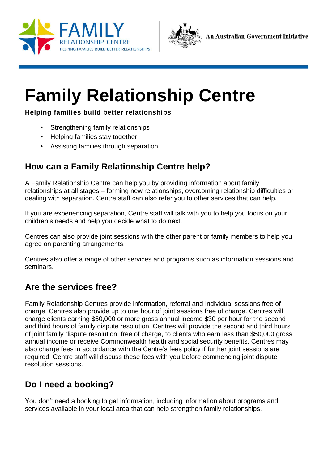



# **Family Relationship Centre**

#### **Helping families build better relationships**

- Strengthening family relationships
- Helping families stay together
- Assisting families through separation

## **How can a Family Relationship Centre help?**

A Family Relationship Centre can help you by providing information about family relationships at all stages – forming new relationships, overcoming relationship difficulties or dealing with separation. Centre staff can also refer you to other services that can help.

If you are experiencing separation, Centre staff will talk with you to help you focus on your children's needs and help you decide what to do next.

Centres can also provide joint sessions with the other parent or family members to help you agree on parenting arrangements.

Centres also offer a range of other services and programs such as information sessions and seminars.

### **Are the services free?**

Family Relationship Centres provide information, referral and individual sessions free of charge. Centres also provide up to one hour of joint sessions free of charge. Centres will charge clients earning \$50,000 or more gross annual income \$30 per hour for the second and third hours of family dispute resolution. Centres will provide the second and third hours of joint family dispute resolution, free of charge, to clients who earn less than \$50,000 gross annual income or receive Commonwealth health and social security benefits. Centres may also charge fees in accordance with the Centre's fees policy if further joint sessions are required. Centre staff will discuss these fees with you before commencing joint dispute resolution sessions.

## **Do I need a booking?**

You don't need a booking to get information, including information about programs and services available in your local area that can help strengthen family relationships.